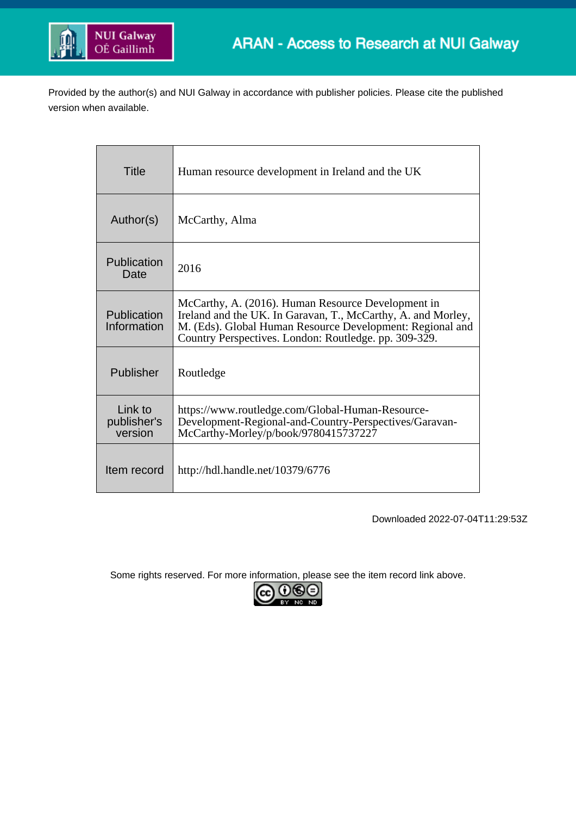

Provided by the author(s) and NUI Galway in accordance with publisher policies. Please cite the published version when available.

| Title                             | Human resource development in Ireland and the UK                                                                                                                                                                                         |
|-----------------------------------|------------------------------------------------------------------------------------------------------------------------------------------------------------------------------------------------------------------------------------------|
| Author(s)                         | McCarthy, Alma                                                                                                                                                                                                                           |
| Publication<br>Date               | 2016                                                                                                                                                                                                                                     |
| Publication<br>Information        | McCarthy, A. (2016). Human Resource Development in<br>Ireland and the UK. In Garavan, T., McCarthy, A. and Morley,<br>M. (Eds). Global Human Resource Development: Regional and<br>Country Perspectives. London: Routledge. pp. 309-329. |
| Publisher                         | Routledge                                                                                                                                                                                                                                |
| Link to<br>publisher's<br>version | https://www.routledge.com/Global-Human-Resource-<br>Development-Regional-and-Country-Perspectives/Garavan-<br>McCarthy-Morley/p/book/9780415737227                                                                                       |
| Item record                       | http://hdl.handle.net/10379/6776                                                                                                                                                                                                         |

Downloaded 2022-07-04T11:29:53Z

Some rights reserved. For more information, please see the item record link above.

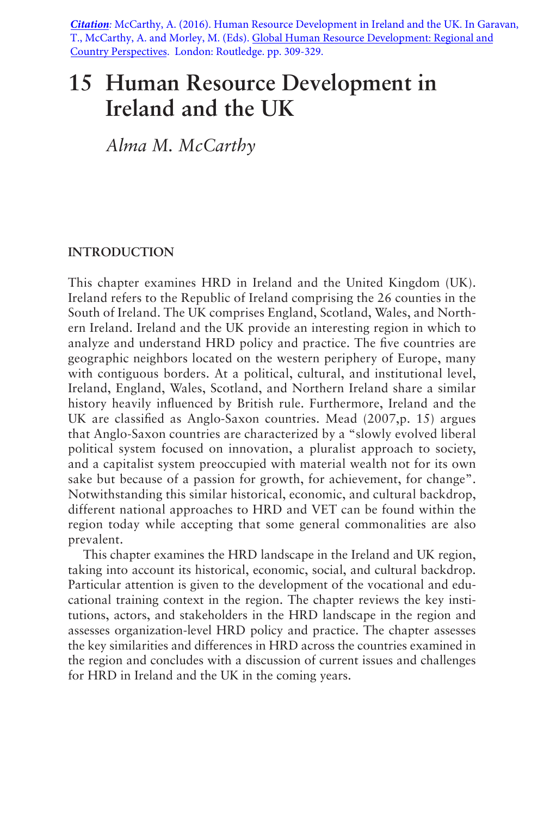*Citation:* McCarthy, A. (2016). Human Resource Development in Ireland and the UK. In Garavan, T., McCarthy, A. and Morley, M. (Eds). Global Human Resource Development: Regional and Country Perspectives. London: Routledge. pp. 309-329.

# **15 Human Resource Development in Ireland and the UK**

*Alma M. McCarthy*

#### **INTRODUCTION**

This chapter examines HRD in Ireland and the United Kingdom (UK). Ireland refers to the Republic of Ireland comprising the 26 counties in the South of Ireland. The UK comprises England, Scotland, Wales, and Northern Ireland. Ireland and the UK provide an interesting region in which to analyze and understand HRD policy and practice. The five countries are geographic neighbors located on the western periphery of Europe, many with contiguous borders. At a political, cultural, and institutional level, Ireland, England, Wales, Scotland, and Northern Ireland share a similar history heavily influenced by British rule. Furthermore, Ireland and the UK are classified as Anglo-Saxon countries. Mead (2007,p. 15) argues that Anglo-Saxon countries are characterized by a "slowly evolved liberal political system focused on innovation, a pluralist approach to society, and a capitalist system preoccupied with material wealth not for its own sake but because of a passion for growth, for achievement, for change". Notwithstanding this similar historical, economic, and cultural backdrop, different national approaches to HRD and VET can be found within the region today while accepting that some general commonalities are also prevalent.

This chapter examines the HRD landscape in the Ireland and UK region, taking into account its historical, economic, social, and cultural backdrop. Particular attention is given to the development of the vocational and educational training context in the region. The chapter reviews the key institutions, actors, and stakeholders in the HRD landscape in the region and assesses organization-level HRD policy and practice. The chapter assesses the key similarities and differences in HRD across the countries examined in the region and concludes with a discussion of current issues and challenges for HRD in Ireland and the UK in the coming years.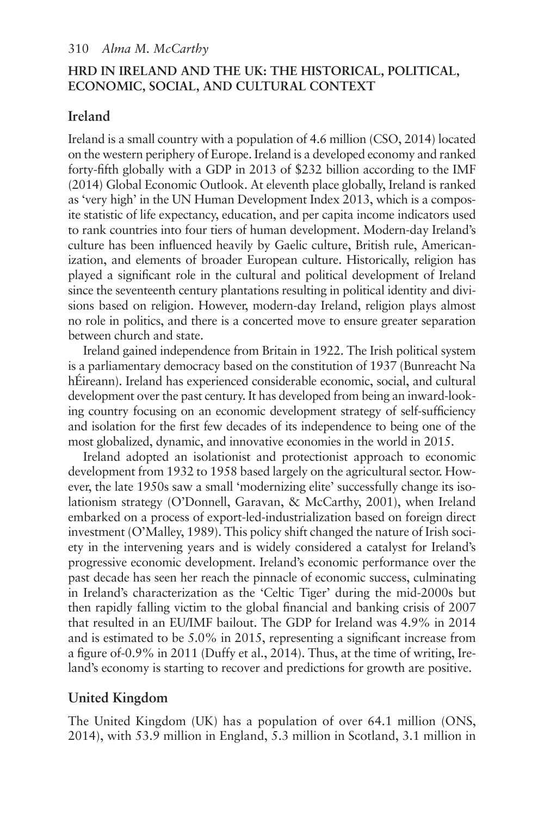### **HRD IN IRELAND AND THE UK: THE HISTORICAL, POLITICAL, ECONOMIC, SOCIAL, AND CULTURAL CONTEXT**

# **Ireland**

Ireland is a small country with a population of 4.6 million (CSO, 2014) located on the western periphery of Europe. Ireland is a developed economy and ranked forty-fifth globally with a GDP in 2013 of \$232 billion according to the IMF (2014) Global Economic Outlook. At eleventh place globally, Ireland is ranked as 'very high' in the UN Human Development Index 2013, which is a composite statistic of life expectancy, education, and per capita income indicators used to rank countries into four tiers of human development. Modern-day Ireland's culture has been influenced heavily by Gaelic culture, British rule, Americanization, and elements of broader European culture. Historically, religion has played a significant role in the cultural and political development of Ireland since the seventeenth century plantations resulting in political identity and divisions based on religion. However, modern-day Ireland, religion plays almost no role in politics, and there is a concerted move to ensure greater separation between church and state.

Ireland gained independence from Britain in 1922. The Irish political system is a parliamentary democracy based on the constitution of 1937 (Bunreacht Na hÉireann). Ireland has experienced considerable economic, social, and cultural development over the past century. It has developed from being an inward-looking country focusing on an economic development strategy of self-sufficiency and isolation for the first few decades of its independence to being one of the most globalized, dynamic, and innovative economies in the world in 2015.

Ireland adopted an isolationist and protectionist approach to economic development from 1932 to 1958 based largely on the agricultural sector. However, the late 1950s saw a small 'modernizing elite' successfully change its isolationism strategy (O'Donnell, Garavan, & McCarthy, 2001), when Ireland embarked on a process of export-led-industrialization based on foreign direct investment (O'Malley, 1989). This policy shift changed the nature of Irish society in the intervening years and is widely considered a catalyst for Ireland's progressive economic development. Ireland's economic performance over the past decade has seen her reach the pinnacle of economic success, culminating in Ireland's characterization as the 'Celtic Tiger' during the mid-2000s but then rapidly falling victim to the global financial and banking crisis of 2007 that resulted in an EU/IMF bailout. The GDP for Ireland was 4.9% in 2014 and is estimated to be 5.0% in 2015, representing a significant increase from a figure of-0.9% in 2011 (Duffy et al., 2014). Thus, at the time of writing, Ireland's economy is starting to recover and predictions for growth are positive.

# **United Kingdom**

The United Kingdom (UK) has a population of over 64.1 million (ONS, 2014), with 53.9 million in England, 5.3 million in Scotland, 3.1 million in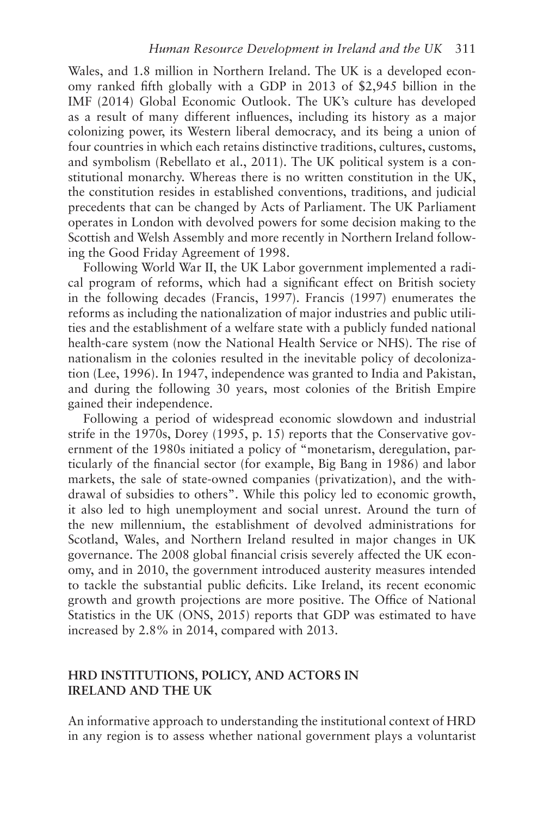Wales, and 1.8 million in Northern Ireland. The UK is a developed economy ranked fifth globally with a GDP in 2013 of \$2,945 billion in the IMF (2014) Global Economic Outlook. The UK's culture has developed as a result of many different influences, including its history as a major colonizing power, its Western liberal democracy, and its being a union of four countries in which each retains distinctive traditions, cultures, customs, and symbolism (Rebellato et al., 2011). The UK political system is a constitutional monarchy. Whereas there is no written constitution in the UK, the constitution resides in established conventions, traditions, and judicial precedents that can be changed by Acts of Parliament. The UK Parliament operates in London with devolved powers for some decision making to the Scottish and Welsh Assembly and more recently in Northern Ireland following the Good Friday Agreement of 1998.

Following World War II, the UK Labor government implemented a radical program of reforms, which had a significant effect on British society in the following decades (Francis, 1997). Francis (1997) enumerates the reforms as including the nationalization of major industries and public utilities and the establishment of a welfare state with a publicly funded national health-care system (now the National Health Service or NHS). The rise of nationalism in the colonies resulted in the inevitable policy of decolonization (Lee, 1996). In 1947, independence was granted to India and Pakistan, and during the following 30 years, most colonies of the British Empire gained their independence.

Following a period of widespread economic slowdown and industrial strife in the 1970s, Dorey (1995, p. 15) reports that the Conservative government of the 1980s initiated a policy of "monetarism, deregulation, particularly of the financial sector (for example, Big Bang in 1986) and labor markets, the sale of state-owned companies (privatization), and the withdrawal of subsidies to others". While this policy led to economic growth, it also led to high unemployment and social unrest. Around the turn of the new millennium, the establishment of devolved administrations for Scotland, Wales, and Northern Ireland resulted in major changes in UK governance. The 2008 global financial crisis severely affected the UK economy, and in 2010, the government introduced austerity measures intended to tackle the substantial public deficits. Like Ireland, its recent economic growth and growth projections are more positive. The Office of National Statistics in the UK (ONS, 2015) reports that GDP was estimated to have increased by 2.8% in 2014, compared with 2013.

#### **HRD INSTITUTIONS, POLICY, AND ACTORS IN IRELAND AND THE UK**

An informative approach to understanding the institutional context of HRD in any region is to assess whether national government plays a voluntarist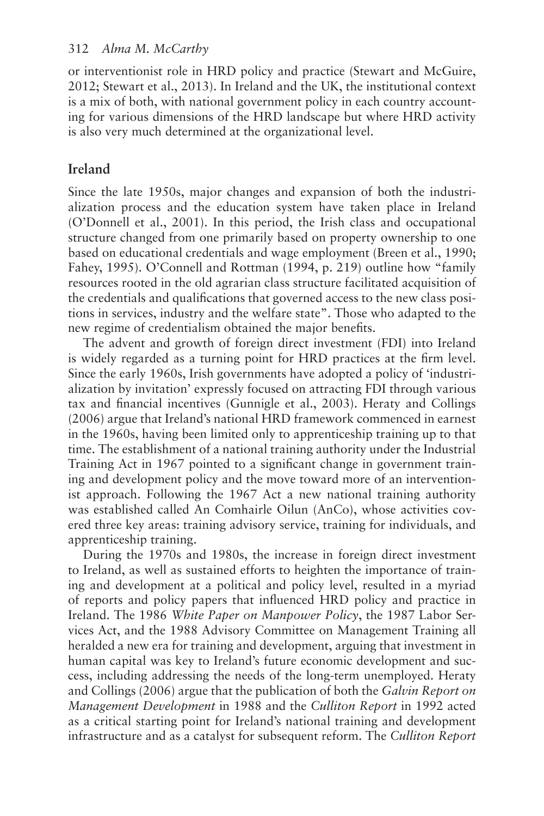or interventionist role in HRD policy and practice (Stewart and McGuire, 2012; Stewart et al., 2013). In Ireland and the UK, the institutional context is a mix of both, with national government policy in each country accounting for various dimensions of the HRD landscape but where HRD activity is also very much determined at the organizational level.

## **Ireland**

Since the late 1950s, major changes and expansion of both the industrialization process and the education system have taken place in Ireland (O'Donnell et al., 2001). In this period, the Irish class and occupational structure changed from one primarily based on property ownership to one based on educational credentials and wage employment (Breen et al., 1990; Fahey, 1995). O'Connell and Rottman (1994, p. 219) outline how "family resources rooted in the old agrarian class structure facilitated acquisition of the credentials and qualifications that governed access to the new class positions in services, industry and the welfare state". Those who adapted to the new regime of credentialism obtained the major benefits.

The advent and growth of foreign direct investment (FDI) into Ireland is widely regarded as a turning point for HRD practices at the firm level. Since the early 1960s, Irish governments have adopted a policy of 'industrialization by invitation' expressly focused on attracting FDI through various tax and financial incentives (Gunnigle et al., 2003). Heraty and Collings (2006) argue that Ireland's national HRD framework commenced in earnest in the 1960s, having been limited only to apprenticeship training up to that time. The establishment of a national training authority under the Industrial Training Act in 1967 pointed to a significant change in government training and development policy and the move toward more of an interventionist approach. Following the 1967 Act a new national training authority was established called An Comhairle Oilun (AnCo), whose activities covered three key areas: training advisory service, training for individuals, and apprenticeship training.

During the 1970s and 1980s, the increase in foreign direct investment to Ireland, as well as sustained efforts to heighten the importance of training and development at a political and policy level, resulted in a myriad of reports and policy papers that influenced HRD policy and practice in Ireland. The 1986 *White Paper on Manpower Policy*, the 1987 Labor Services Act, and the 1988 Advisory Committee on Management Training all heralded a new era for training and development, arguing that investment in human capital was key to Ireland's future economic development and success, including addressing the needs of the long-term unemployed. Heraty and Collings (2006) argue that the publication of both the *Galvin Report on Management Development* in 1988 and the *Culliton Report* in 1992 acted as a critical starting point for Ireland's national training and development infrastructure and as a catalyst for subsequent reform. The *Culliton Report*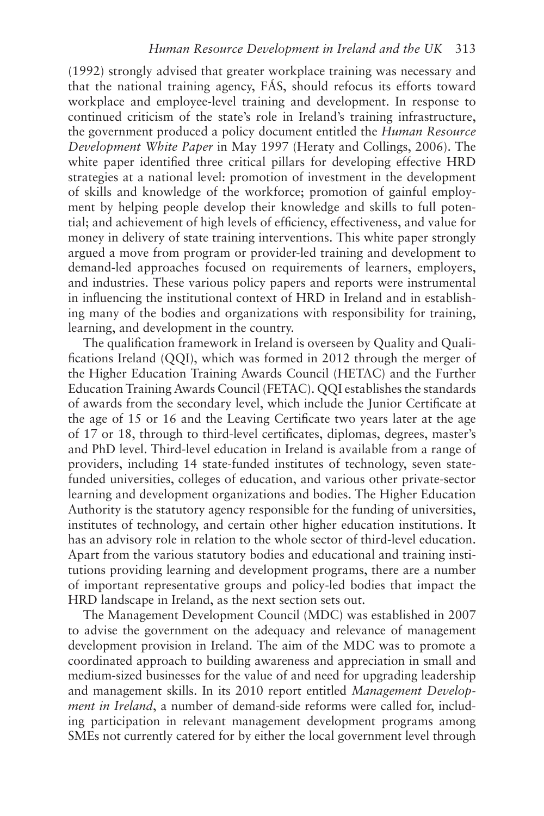(1992) strongly advised that greater workplace training was necessary and that the national training agency, FÁS, should refocus its efforts toward workplace and employee-level training and development. In response to continued criticism of the state's role in Ireland's training infrastructure, the government produced a policy document entitled the *Human Resource Development White Paper* in May 1997 (Heraty and Collings, 2006). The white paper identified three critical pillars for developing effective HRD strategies at a national level: promotion of investment in the development of skills and knowledge of the workforce; promotion of gainful employment by helping people develop their knowledge and skills to full potential; and achievement of high levels of efficiency, effectiveness, and value for money in delivery of state training interventions. This white paper strongly argued a move from program or provider-led training and development to demand-led approaches focused on requirements of learners, employers, and industries. These various policy papers and reports were instrumental in influencing the institutional context of HRD in Ireland and in establishing many of the bodies and organizations with responsibility for training, learning, and development in the country.

The qualification framework in Ireland is overseen by Quality and Qualifications Ireland (QQI), which was formed in 2012 through the merger of the Higher Education Training Awards Council (HETAC) and the Further Education Training Awards Council (FETAC). QQI establishes the standards of awards from the secondary level, which include the Junior Certificate at the age of 15 or 16 and the Leaving Certificate two years later at the age of 17 or 18, through to third-level certificates, diplomas, degrees, master's and PhD level. Third-level education in Ireland is available from a range of providers, including 14 state-funded institutes of technology, seven statefunded universities, colleges of education, and various other private-sector learning and development organizations and bodies. The Higher Education Authority is the statutory agency responsible for the funding of universities, institutes of technology, and certain other higher education institutions. It has an advisory role in relation to the whole sector of third-level education. Apart from the various statutory bodies and educational and training institutions providing learning and development programs, there are a number of important representative groups and policy-led bodies that impact the HRD landscape in Ireland, as the next section sets out.

The Management Development Council (MDC) was established in 2007 to advise the government on the adequacy and relevance of management development provision in Ireland. The aim of the MDC was to promote a coordinated approach to building awareness and appreciation in small and medium-sized businesses for the value of and need for upgrading leadership and management skills. In its 2010 report entitled *Management Development in Ireland*, a number of demand-side reforms were called for, including participation in relevant management development programs among SMEs not currently catered for by either the local government level through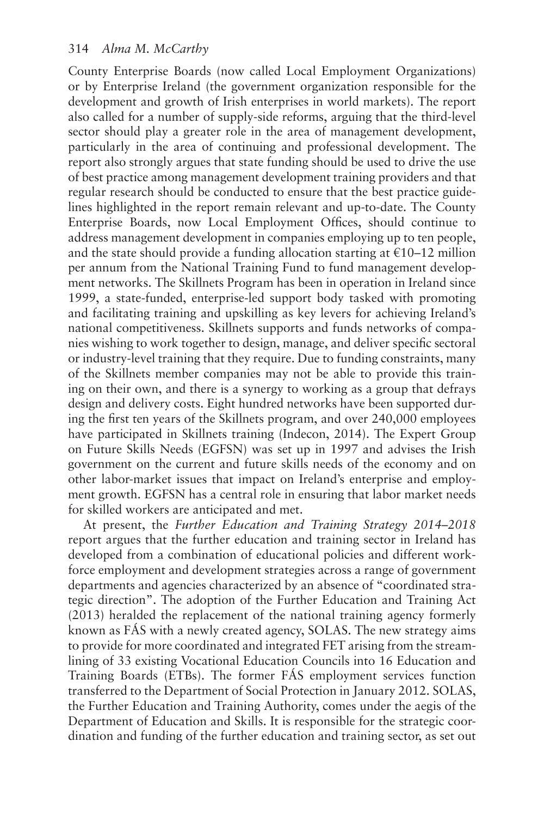County Enterprise Boards (now called Local Employment Organizations) or by Enterprise Ireland (the government organization responsible for the development and growth of Irish enterprises in world markets). The report also called for a number of supply-side reforms, arguing that the third-level sector should play a greater role in the area of management development, particularly in the area of continuing and professional development. The report also strongly argues that state funding should be used to drive the use of best practice among management development training providers and that regular research should be conducted to ensure that the best practice guidelines highlighted in the report remain relevant and up-to-date. The County Enterprise Boards, now Local Employment Offices, should continue to address management development in companies employing up to ten people, and the state should provide a funding allocation starting at  $\epsilon$ 10–12 million per annum from the National Training Fund to fund management development networks. The Skillnets Program has been in operation in Ireland since 1999, a state-funded, enterprise-led support body tasked with promoting and facilitating training and upskilling as key levers for achieving Ireland's national competitiveness. Skillnets supports and funds networks of companies wishing to work together to design, manage, and deliver specific sectoral or industry-level training that they require. Due to funding constraints, many of the Skillnets member companies may not be able to provide this training on their own, and there is a synergy to working as a group that defrays design and delivery costs. Eight hundred networks have been supported during the first ten years of the Skillnets program, and over 240,000 employees have participated in Skillnets training (Indecon, 2014). The Expert Group on Future Skills Needs (EGFSN) was set up in 1997 and advises the Irish government on the current and future skills needs of the economy and on other labor-market issues that impact on Ireland's enterprise and employment growth. EGFSN has a central role in ensuring that labor market needs for skilled workers are anticipated and met.

At present, the *Further Education and Training Strategy 2014–2018* report argues that the further education and training sector in Ireland has developed from a combination of educational policies and different workforce employment and development strategies across a range of government departments and agencies characterized by an absence of "coordinated strategic direction". The adoption of the Further Education and Training Act (2013) heralded the replacement of the national training agency formerly known as FÁS with a newly created agency, SOLAS. The new strategy aims to provide for more coordinated and integrated FET arising from the streamlining of 33 existing Vocational Education Councils into 16 Education and Training Boards (ETBs). The former FÁS employment services function transferred to the Department of Social Protection in January 2012. SOLAS, the Further Education and Training Authority, comes under the aegis of the Department of Education and Skills. It is responsible for the strategic coordination and funding of the further education and training sector, as set out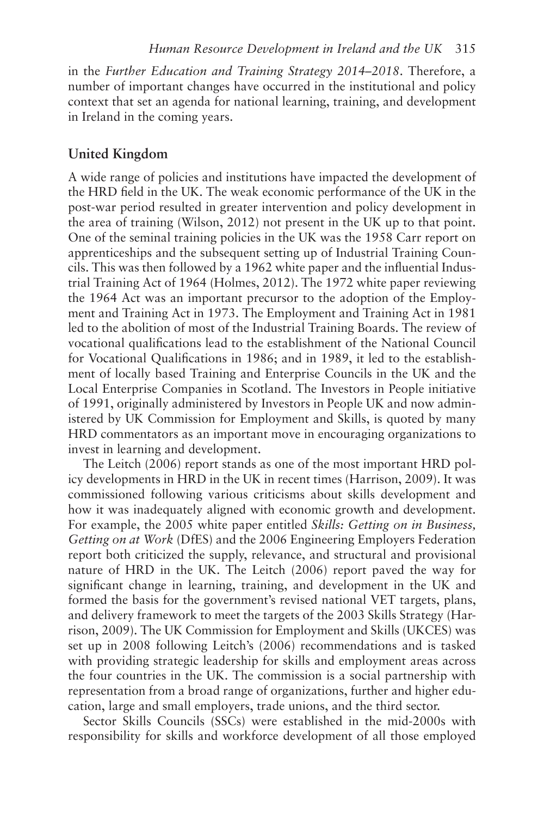in the *Further Education and Training Strategy 2014–2018*. Therefore, a number of important changes have occurred in the institutional and policy context that set an agenda for national learning, training, and development in Ireland in the coming years.

#### **United Kingdom**

A wide range of policies and institutions have impacted the development of the HRD field in the UK. The weak economic performance of the UK in the post-war period resulted in greater intervention and policy development in the area of training (Wilson, 2012) not present in the UK up to that point. One of the seminal training policies in the UK was the 1958 Carr report on apprenticeships and the subsequent setting up of Industrial Training Councils. This was then followed by a 1962 white paper and the influential Industrial Training Act of 1964 (Holmes, 2012). The 1972 white paper reviewing the 1964 Act was an important precursor to the adoption of the Employment and Training Act in 1973. The Employment and Training Act in 1981 led to the abolition of most of the Industrial Training Boards. The review of vocational qualifications lead to the establishment of the National Council for Vocational Qualifications in 1986; and in 1989, it led to the establishment of locally based Training and Enterprise Councils in the UK and the Local Enterprise Companies in Scotland. The Investors in People initiative of 1991, originally administered by Investors in People UK and now administered by UK Commission for Employment and Skills, is quoted by many HRD commentators as an important move in encouraging organizations to invest in learning and development.

The Leitch (2006) report stands as one of the most important HRD policy developments in HRD in the UK in recent times (Harrison, 2009). It was commissioned following various criticisms about skills development and how it was inadequately aligned with economic growth and development. For example, the 2005 white paper entitled *Skills: Getting on in Business, Getting on at Work* (DfES) and the 2006 Engineering Employers Federation report both criticized the supply, relevance, and structural and provisional nature of HRD in the UK. The Leitch (2006) report paved the way for significant change in learning, training, and development in the UK and formed the basis for the government's revised national VET targets, plans, and delivery framework to meet the targets of the 2003 Skills Strategy (Harrison, 2009). The UK Commission for Employment and Skills (UKCES) was set up in 2008 following Leitch's (2006) recommendations and is tasked with providing strategic leadership for skills and employment areas across the four countries in the UK. The commission is a social partnership with representation from a broad range of organizations, further and higher education, large and small employers, trade unions, and the third sector.

Sector Skills Councils (SSCs) were established in the mid-2000s with responsibility for skills and workforce development of all those employed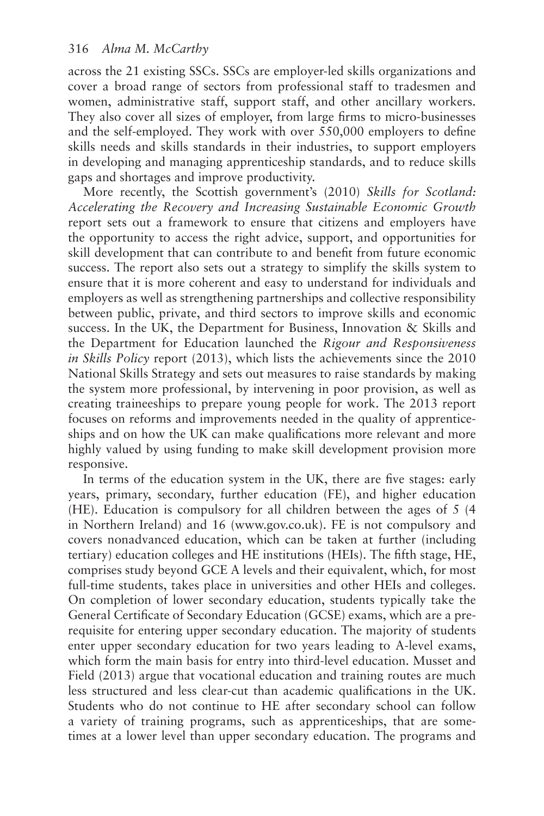across the 21 existing SSCs. SSCs are employer-led skills organizations and cover a broad range of sectors from professional staff to tradesmen and women, administrative staff, support staff, and other ancillary workers. They also cover all sizes of employer, from large firms to micro-businesses and the self-employed. They work with over 550,000 employers to define skills needs and skills standards in their industries, to support employers in developing and managing apprenticeship standards, and to reduce skills gaps and shortages and improve productivity.

More recently, the Scottish government's (2010) *Skills for Scotland: Accelerating the Recovery and Increasing Sustainable Economic Growth* report sets out a framework to ensure that citizens and employers have the opportunity to access the right advice, support, and opportunities for skill development that can contribute to and benefit from future economic success. The report also sets out a strategy to simplify the skills system to ensure that it is more coherent and easy to understand for individuals and employers as well as strengthening partnerships and collective responsibility between public, private, and third sectors to improve skills and economic success. In the UK, the Department for Business, Innovation & Skills and the Department for Education launched the *Rigour and Responsiveness in Skills Policy* report (2013), which lists the achievements since the 2010 National Skills Strategy and sets out measures to raise standards by making the system more professional, by intervening in poor provision, as well as creating traineeships to prepare young people for work. The 2013 report focuses on reforms and improvements needed in the quality of apprenticeships and on how the UK can make qualifications more relevant and more highly valued by using funding to make skill development provision more responsive.

In terms of the education system in the UK, there are five stages: early years, primary, secondary, further education (FE), and higher education (HE). Education is compulsory for all children between the ages of 5 (4 in Northern Ireland) and 16 (www.gov.co.uk). FE is not compulsory and covers nonadvanced education, which can be taken at further (including tertiary) education colleges and HE institutions (HEIs). The fifth stage, HE, comprises study beyond GCE A levels and their equivalent, which, for most full-time students, takes place in universities and other HEIs and colleges. On completion of lower secondary education, students typically take the General Certificate of Secondary Education (GCSE) exams, which are a prerequisite for entering upper secondary education. The majority of students enter upper secondary education for two years leading to A-level exams, which form the main basis for entry into third-level education. Musset and Field (2013) argue that vocational education and training routes are much less structured and less clear-cut than academic qualifications in the UK. Students who do not continue to HE after secondary school can follow a variety of training programs, such as apprenticeships, that are sometimes at a lower level than upper secondary education. The programs and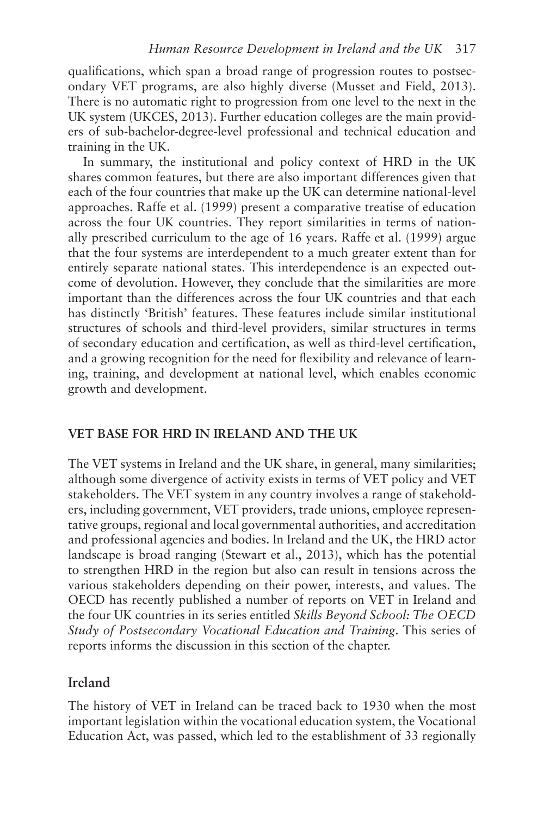qualifications, which span a broad range of progression routes to postsecondary VET programs, are also highly diverse (Musset and Field, 2013). There is no automatic right to progression from one level to the next in the UK system (UKCES, 2013). Further education colleges are the main providers of sub-bachelor-degree-level professional and technical education and training in the UK.

In summary, the institutional and policy context of HRD in the UK shares common features, but there are also important differences given that each of the four countries that make up the UK can determine national-level approaches. Raffe et al. (1999) present a comparative treatise of education across the four UK countries. They report similarities in terms of nationally prescribed curriculum to the age of 16 years. Raffe et al. (1999) argue that the four systems are interdependent to a much greater extent than for entirely separate national states. This interdependence is an expected outcome of devolution. However, they conclude that the similarities are more important than the differences across the four UK countries and that each has distinctly 'British' features. These features include similar institutional structures of schools and third-level providers, similar structures in terms of secondary education and certification, as well as third-level certification, and a growing recognition for the need for flexibility and relevance of learning, training, and development at national level, which enables economic growth and development.

#### **VET BASE FOR HRD IN IRELAND AND THE UK**

The VET systems in Ireland and the UK share, in general, many similarities; although some divergence of activity exists in terms of VET policy and VET stakeholders. The VET system in any country involves a range of stakeholders, including government, VET providers, trade unions, employee representative groups, regional and local governmental authorities, and accreditation and professional agencies and bodies. In Ireland and the UK, the HRD actor landscape is broad ranging (Stewart et al., 2013), which has the potential to strengthen HRD in the region but also can result in tensions across the various stakeholders depending on their power, interests, and values. The OECD has recently published a number of reports on VET in Ireland and the four UK countries in its series entitled *Skills Beyond School: The OECD Study of Postsecondary Vocational Education and Training*. This series of reports informs the discussion in this section of the chapter.

#### **Ireland**

The history of VET in Ireland can be traced back to 1930 when the most important legislation within the vocational education system, the Vocational Education Act, was passed, which led to the establishment of 33 regionally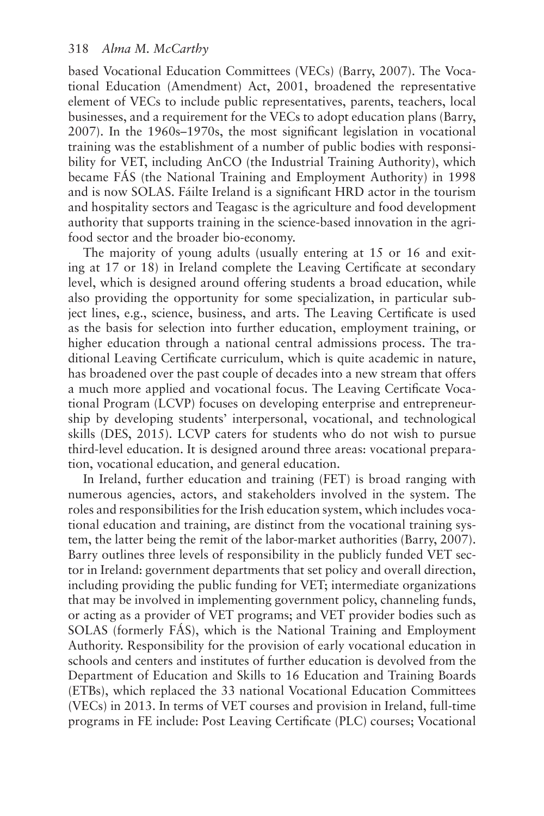based Vocational Education Committees (VECs) (Barry, 2007). The Vocational Education (Amendment) Act, 2001, broadened the representative element of VECs to include public representatives, parents, teachers, local businesses, and a requirement for the VECs to adopt education plans (Barry, 2007). In the 1960s–1970s, the most significant legislation in vocational training was the establishment of a number of public bodies with responsibility for VET, including AnCO (the Industrial Training Authority), which became FÁS (the National Training and Employment Authority) in 1998 and is now SOLAS. Fáilte Ireland is a significant HRD actor in the tourism and hospitality sectors and Teagasc is the agriculture and food development authority that supports training in the science-based innovation in the agrifood sector and the broader bio-economy.

The majority of young adults (usually entering at 15 or 16 and exiting at 17 or 18) in Ireland complete the Leaving Certificate at secondary level, which is designed around offering students a broad education, while also providing the opportunity for some specialization, in particular subject lines, e.g., science, business, and arts. The Leaving Certificate is used as the basis for selection into further education, employment training, or higher education through a national central admissions process. The traditional Leaving Certificate curriculum, which is quite academic in nature, has broadened over the past couple of decades into a new stream that offers a much more applied and vocational focus. The Leaving Certificate Vocational Program (LCVP) focuses on developing enterprise and entrepreneurship by developing students' interpersonal, vocational, and technological skills (DES, 2015). LCVP caters for students who do not wish to pursue third-level education. It is designed around three areas: vocational preparation, vocational education, and general education.

In Ireland, further education and training (FET) is broad ranging with numerous agencies, actors, and stakeholders involved in the system. The roles and responsibilities for the Irish education system, which includes vocational education and training, are distinct from the vocational training system, the latter being the remit of the labor-market authorities (Barry, 2007). Barry outlines three levels of responsibility in the publicly funded VET sector in Ireland: government departments that set policy and overall direction, including providing the public funding for VET; intermediate organizations that may be involved in implementing government policy, channeling funds, or acting as a provider of VET programs; and VET provider bodies such as SOLAS (formerly FÁS), which is the National Training and Employment Authority. Responsibility for the provision of early vocational education in schools and centers and institutes of further education is devolved from the Department of Education and Skills to 16 Education and Training Boards (ETBs), which replaced the 33 national Vocational Education Committees (VECs) in 2013. In terms of VET courses and provision in Ireland, full-time programs in FE include: Post Leaving Certificate (PLC) courses; Vocational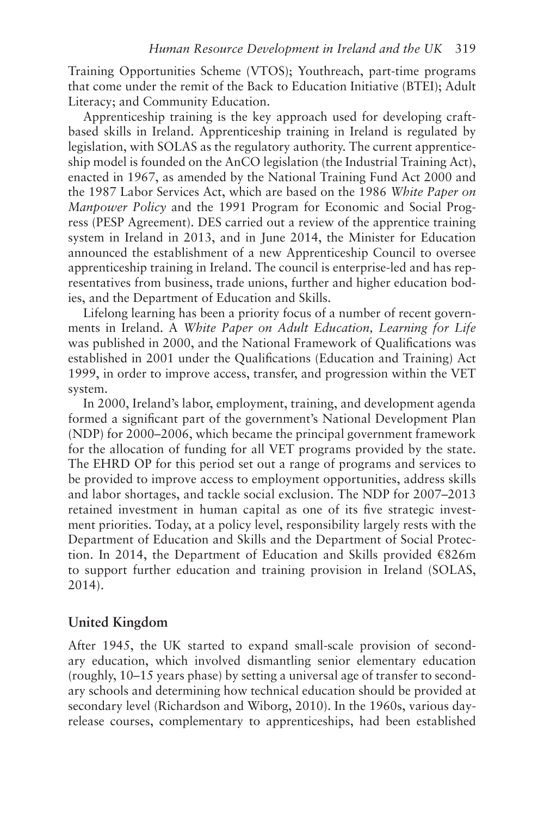Training Opportunities Scheme (VTOS); Youthreach, part-time programs that come under the remit of the Back to Education Initiative (BTEI); Adult Literacy; and Community Education.

Apprenticeship training is the key approach used for developing craftbased skills in Ireland. Apprenticeship training in Ireland is regulated by legislation, with SOLAS as the regulatory authority. The current apprenticeship model is founded on the AnCO legislation (the Industrial Training Act), enacted in 1967, as amended by the National Training Fund Act 2000 and the 1987 Labor Services Act, which are based on the 1986 *White Paper on Manpower Policy* and the 1991 Program for Economic and Social Progress (PESP Agreement). DES carried out a review of the apprentice training system in Ireland in 2013, and in June 2014, the Minister for Education announced the establishment of a new Apprenticeship Council to oversee apprenticeship training in Ireland. The council is enterprise-led and has representatives from business, trade unions, further and higher education bodies, and the Department of Education and Skills.

Lifelong learning has been a priority focus of a number of recent governments in Ireland. A *White Paper on Adult Education, Learning for Life* was published in 2000, and the National Framework of Qualifications was established in 2001 under the Qualifications (Education and Training) Act 1999, in order to improve access, transfer, and progression within the VET system.

In 2000, Ireland's labor, employment, training, and development agenda formed a significant part of the government's National Development Plan (NDP) for 2000–2006, which became the principal government framework for the allocation of funding for all VET programs provided by the state. The EHRD OP for this period set out a range of programs and services to be provided to improve access to employment opportunities, address skills and labor shortages, and tackle social exclusion. The NDP for 2007–2013 retained investment in human capital as one of its five strategic investment priorities. Today, at a policy level, responsibility largely rests with the Department of Education and Skills and the Department of Social Protection. In 2014, the Department of Education and Skills provided €826m to support further education and training provision in Ireland (SOLAS, 2014).

#### **United Kingdom**

After 1945, the UK started to expand small-scale provision of secondary education, which involved dismantling senior elementary education (roughly, 10–15 years phase) by setting a universal age of transfer to secondary schools and determining how technical education should be provided at secondary level (Richardson and Wiborg, 2010). In the 1960s, various dayrelease courses, complementary to apprenticeships, had been established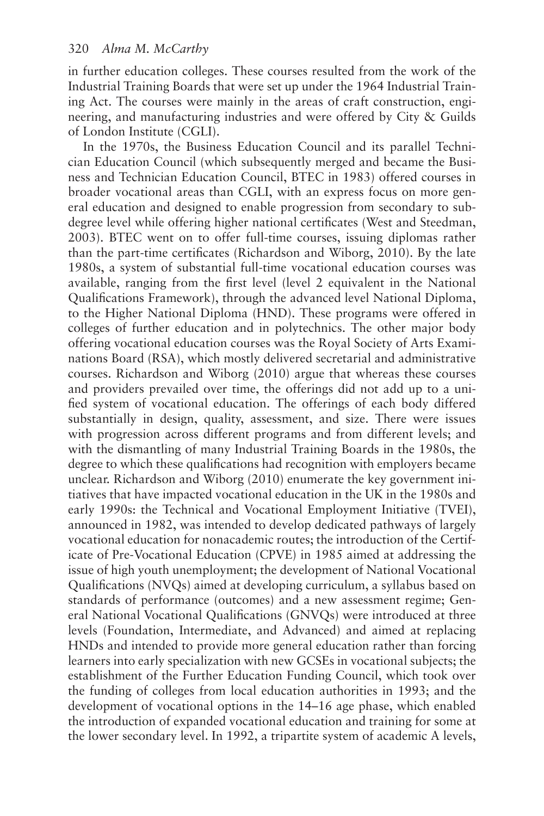in further education colleges. These courses resulted from the work of the Industrial Training Boards that were set up under the 1964 Industrial Training Act. The courses were mainly in the areas of craft construction, engineering, and manufacturing industries and were offered by City & Guilds of London Institute (CGLI).

In the 1970s, the Business Education Council and its parallel Technician Education Council (which subsequently merged and became the Business and Technician Education Council, BTEC in 1983) offered courses in broader vocational areas than CGLI, with an express focus on more general education and designed to enable progression from secondary to subdegree level while offering higher national certificates (West and Steedman, 2003). BTEC went on to offer full-time courses, issuing diplomas rather than the part-time certificates (Richardson and Wiborg, 2010). By the late 1980s, a system of substantial full-time vocational education courses was available, ranging from the first level (level 2 equivalent in the National Qualifications Framework), through the advanced level National Diploma, to the Higher National Diploma (HND). These programs were offered in colleges of further education and in polytechnics. The other major body offering vocational education courses was the Royal Society of Arts Examinations Board (RSA), which mostly delivered secretarial and administrative courses. Richardson and Wiborg (2010) argue that whereas these courses and providers prevailed over time, the offerings did not add up to a unified system of vocational education. The offerings of each body differed substantially in design, quality, assessment, and size. There were issues with progression across different programs and from different levels; and with the dismantling of many Industrial Training Boards in the 1980s, the degree to which these qualifications had recognition with employers became unclear. Richardson and Wiborg (2010) enumerate the key government initiatives that have impacted vocational education in the UK in the 1980s and early 1990s: the Technical and Vocational Employment Initiative (TVEI), announced in 1982, was intended to develop dedicated pathways of largely vocational education for nonacademic routes; the introduction of the Certificate of Pre-Vocational Education (CPVE) in 1985 aimed at addressing the issue of high youth unemployment; the development of National Vocational Qualifications (NVQs) aimed at developing curriculum, a syllabus based on standards of performance (outcomes) and a new assessment regime; General National Vocational Qualifications (GNVQs) were introduced at three levels (Foundation, Intermediate, and Advanced) and aimed at replacing HNDs and intended to provide more general education rather than forcing learners into early specialization with new GCSEs in vocational subjects; the establishment of the Further Education Funding Council, which took over the funding of colleges from local education authorities in 1993; and the development of vocational options in the 14–16 age phase, which enabled the introduction of expanded vocational education and training for some at the lower secondary level. In 1992, a tripartite system of academic A levels,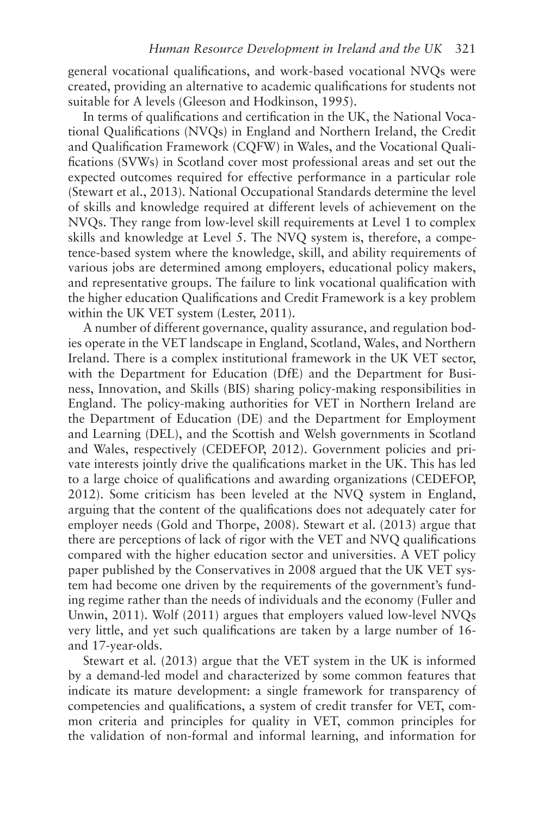general vocational qualifications, and work-based vocational NVQs were created, providing an alternative to academic qualifications for students not suitable for A levels (Gleeson and Hodkinson, 1995).

In terms of qualifications and certification in the UK, the National Vocational Qualifications (NVQs) in England and Northern Ireland, the Credit and Qualification Framework (CQFW) in Wales, and the Vocational Qualifications (SVWs) in Scotland cover most professional areas and set out the expected outcomes required for effective performance in a particular role (Stewart et al., 2013). National Occupational Standards determine the level of skills and knowledge required at different levels of achievement on the NVQs. They range from low-level skill requirements at Level 1 to complex skills and knowledge at Level 5. The NVQ system is, therefore, a competence-based system where the knowledge, skill, and ability requirements of various jobs are determined among employers, educational policy makers, and representative groups. The failure to link vocational qualification with the higher education Qualifications and Credit Framework is a key problem within the UK VET system (Lester, 2011).

A number of different governance, quality assurance, and regulation bodies operate in the VET landscape in England, Scotland, Wales, and Northern Ireland. There is a complex institutional framework in the UK VET sector, with the Department for Education (DfE) and the Department for Business, Innovation, and Skills (BIS) sharing policy-making responsibilities in England. The policy-making authorities for VET in Northern Ireland are the Department of Education (DE) and the Department for Employment and Learning (DEL), and the Scottish and Welsh governments in Scotland and Wales, respectively (CEDEFOP, 2012). Government policies and private interests jointly drive the qualifications market in the UK. This has led to a large choice of qualifications and awarding organizations (CEDEFOP, 2012). Some criticism has been leveled at the NVQ system in England, arguing that the content of the qualifications does not adequately cater for employer needs (Gold and Thorpe, 2008). Stewart et al. (2013) argue that there are perceptions of lack of rigor with the VET and NVQ qualifications compared with the higher education sector and universities. A VET policy paper published by the Conservatives in 2008 argued that the UK VET system had become one driven by the requirements of the government's funding regime rather than the needs of individuals and the economy (Fuller and Unwin, 2011). Wolf (2011) argues that employers valued low-level NVQs very little, and yet such qualifications are taken by a large number of 16 and 17-year-olds.

Stewart et al. (2013) argue that the VET system in the UK is informed by a demand-led model and characterized by some common features that indicate its mature development: a single framework for transparency of competencies and qualifications, a system of credit transfer for VET, common criteria and principles for quality in VET, common principles for the validation of non-formal and informal learning, and information for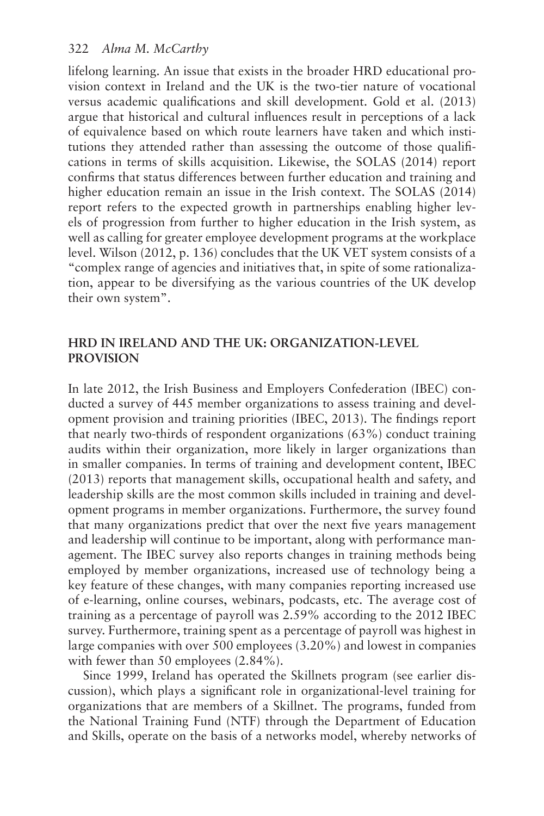lifelong learning. An issue that exists in the broader HRD educational provision context in Ireland and the UK is the two-tier nature of vocational versus academic qualifications and skill development. Gold et al. (2013) argue that historical and cultural influences result in perceptions of a lack of equivalence based on which route learners have taken and which institutions they attended rather than assessing the outcome of those qualifications in terms of skills acquisition. Likewise, the SOLAS (2014) report confirms that status differences between further education and training and higher education remain an issue in the Irish context. The SOLAS (2014) report refers to the expected growth in partnerships enabling higher levels of progression from further to higher education in the Irish system, as well as calling for greater employee development programs at the workplace level. Wilson (2012, p. 136) concludes that the UK VET system consists of a "complex range of agencies and initiatives that, in spite of some rationalization, appear to be diversifying as the various countries of the UK develop their own system".

#### **HRD IN IRELAND AND THE UK: ORGANIZATION-LEVEL PROVISION**

In late 2012, the Irish Business and Employers Confederation (IBEC) conducted a survey of 445 member organizations to assess training and development provision and training priorities (IBEC, 2013). The findings report that nearly two-thirds of respondent organizations (63%) conduct training audits within their organization, more likely in larger organizations than in smaller companies. In terms of training and development content, IBEC (2013) reports that management skills, occupational health and safety, and leadership skills are the most common skills included in training and development programs in member organizations. Furthermore, the survey found that many organizations predict that over the next five years management and leadership will continue to be important, along with performance management. The IBEC survey also reports changes in training methods being employed by member organizations, increased use of technology being a key feature of these changes, with many companies reporting increased use of e-learning, online courses, webinars, podcasts, etc. The average cost of training as a percentage of payroll was 2.59% according to the 2012 IBEC survey. Furthermore, training spent as a percentage of payroll was highest in large companies with over 500 employees (3.20%) and lowest in companies with fewer than 50 employees  $(2.84\%)$ .

Since 1999, Ireland has operated the Skillnets program (see earlier discussion), which plays a significant role in organizational-level training for organizations that are members of a Skillnet. The programs, funded from the National Training Fund (NTF) through the Department of Education and Skills, operate on the basis of a networks model, whereby networks of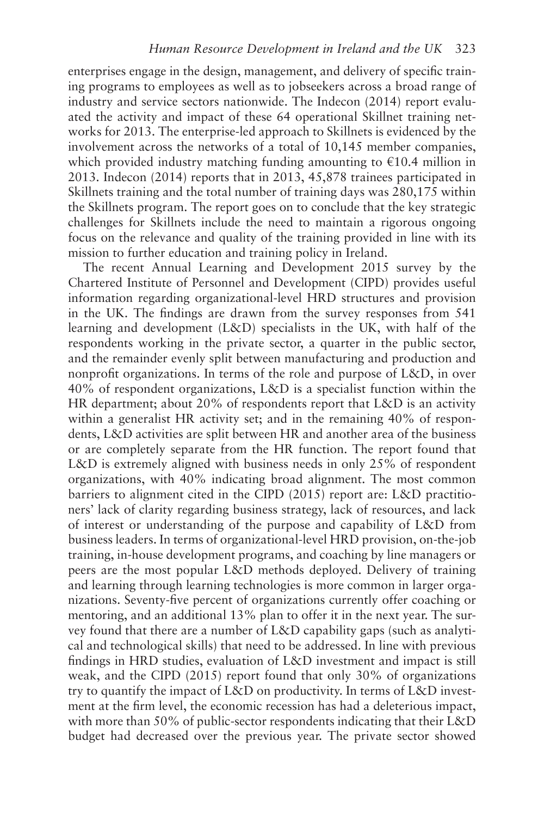enterprises engage in the design, management, and delivery of specific training programs to employees as well as to jobseekers across a broad range of industry and service sectors nationwide. The Indecon (2014) report evaluated the activity and impact of these 64 operational Skillnet training networks for 2013. The enterprise-led approach to Skillnets is evidenced by the involvement across the networks of a total of 10,145 member companies, which provided industry matching funding amounting to  $\epsilon$ 10.4 million in 2013. Indecon (2014) reports that in 2013, 45,878 trainees participated in Skillnets training and the total number of training days was 280,175 within the Skillnets program. The report goes on to conclude that the key strategic challenges for Skillnets include the need to maintain a rigorous ongoing focus on the relevance and quality of the training provided in line with its mission to further education and training policy in Ireland.

The recent Annual Learning and Development 2015 survey by the Chartered Institute of Personnel and Development (CIPD) provides useful information regarding organizational-level HRD structures and provision in the UK. The findings are drawn from the survey responses from 541 learning and development (L&D) specialists in the UK, with half of the respondents working in the private sector, a quarter in the public sector, and the remainder evenly split between manufacturing and production and nonprofit organizations. In terms of the role and purpose of L&D, in over 40% of respondent organizations, L&D is a specialist function within the HR department; about 20% of respondents report that L&D is an activity within a generalist HR activity set; and in the remaining 40% of respondents, L&D activities are split between HR and another area of the business or are completely separate from the HR function. The report found that L&D is extremely aligned with business needs in only 25% of respondent organizations, with 40% indicating broad alignment. The most common barriers to alignment cited in the CIPD (2015) report are: L&D practitioners' lack of clarity regarding business strategy, lack of resources, and lack of interest or understanding of the purpose and capability of L&D from business leaders. In terms of organizational-level HRD provision, on-the-job training, in-house development programs, and coaching by line managers or peers are the most popular L&D methods deployed. Delivery of training and learning through learning technologies is more common in larger organizations. Seventy-five percent of organizations currently offer coaching or mentoring, and an additional 13% plan to offer it in the next year. The survey found that there are a number of L&D capability gaps (such as analytical and technological skills) that need to be addressed. In line with previous findings in HRD studies, evaluation of L&D investment and impact is still weak, and the CIPD (2015) report found that only 30% of organizations try to quantify the impact of L&D on productivity. In terms of L&D investment at the firm level, the economic recession has had a deleterious impact, with more than 50% of public-sector respondents indicating that their L&D budget had decreased over the previous year. The private sector showed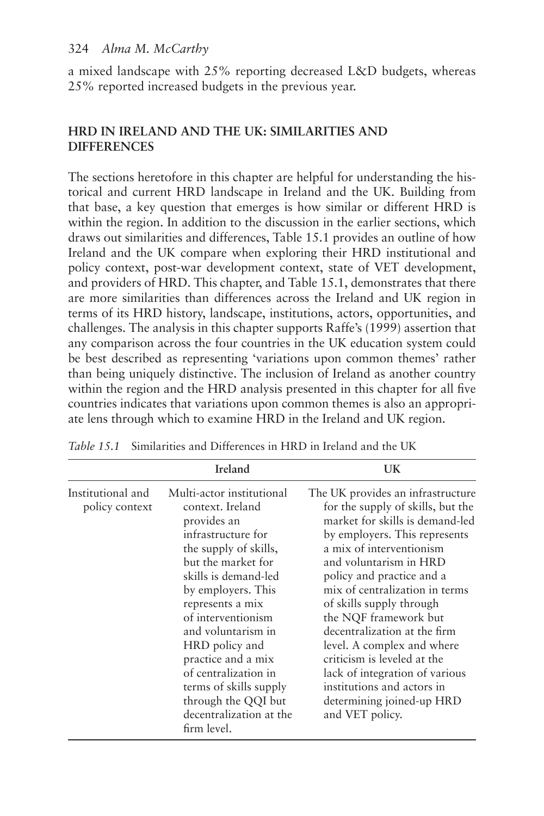a mixed landscape with 25% reporting decreased L&D budgets, whereas 25% reported increased budgets in the previous year.

#### **HRD IN IRELAND AND THE UK: SIMILARITIES AND DIFFERENCES**

The sections heretofore in this chapter are helpful for understanding the historical and current HRD landscape in Ireland and the UK. Building from that base, a key question that emerges is how similar or different HRD is within the region. In addition to the discussion in the earlier sections, which draws out similarities and differences, Table 15.1 provides an outline of how Ireland and the UK compare when exploring their HRD institutional and policy context, post-war development context, state of VET development, and providers of HRD. This chapter, and Table 15.1, demonstrates that there are more similarities than differences across the Ireland and UK region in terms of its HRD history, landscape, institutions, actors, opportunities, and challenges. The analysis in this chapter supports Raffe's (1999) assertion that any comparison across the four countries in the UK education system could be best described as representing 'variations upon common themes' rather than being uniquely distinctive. The inclusion of Ireland as another country within the region and the HRD analysis presented in this chapter for all five countries indicates that variations upon common themes is also an appropriate lens through which to examine HRD in the Ireland and UK region.

|                                     | <b>Ireland</b>                                                                                                                                                                                                                                                                                                                                                                                             | UK                                                                                                                                                                                                                                                                                                                                                                                                                                                                                                                                |
|-------------------------------------|------------------------------------------------------------------------------------------------------------------------------------------------------------------------------------------------------------------------------------------------------------------------------------------------------------------------------------------------------------------------------------------------------------|-----------------------------------------------------------------------------------------------------------------------------------------------------------------------------------------------------------------------------------------------------------------------------------------------------------------------------------------------------------------------------------------------------------------------------------------------------------------------------------------------------------------------------------|
| Institutional and<br>policy context | Multi-actor institutional<br>context. Ireland<br>provides an<br>infrastructure for<br>the supply of skills,<br>but the market for<br>skills is demand-led<br>by employers. This<br>represents a mix<br>of interventionism<br>and voluntarism in<br>HRD policy and<br>practice and a mix<br>of centralization in<br>terms of skills supply<br>through the QQI but<br>decentralization at the<br>firm level. | The UK provides an infrastructure<br>for the supply of skills, but the<br>market for skills is demand-led<br>by employers. This represents<br>a mix of interventionism<br>and voluntarism in HRD<br>policy and practice and a<br>mix of centralization in terms<br>of skills supply through<br>the NQF framework but<br>decentralization at the firm<br>level. A complex and where<br>criticism is leveled at the<br>lack of integration of various<br>institutions and actors in<br>determining joined-up HRD<br>and VET policy. |

*Table 15.1* Similarities and Differences in HRD in Ireland and the UK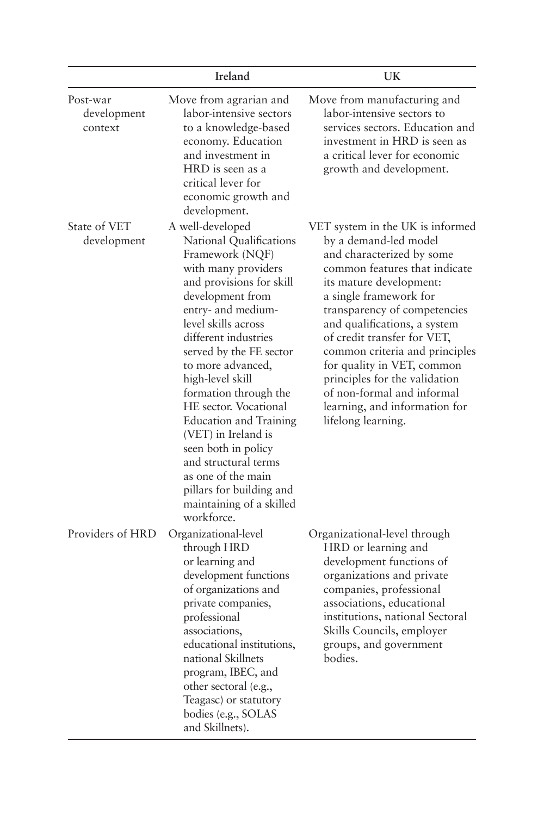|                                    | Ireland                                                                                                                                                                                                                                                                                                                                                                                                                                                                                                                             | UK                                                                                                                                                                                                                                                                                                                                                                                                                                                                |
|------------------------------------|-------------------------------------------------------------------------------------------------------------------------------------------------------------------------------------------------------------------------------------------------------------------------------------------------------------------------------------------------------------------------------------------------------------------------------------------------------------------------------------------------------------------------------------|-------------------------------------------------------------------------------------------------------------------------------------------------------------------------------------------------------------------------------------------------------------------------------------------------------------------------------------------------------------------------------------------------------------------------------------------------------------------|
| Post-war<br>development<br>context | Move from agrarian and<br>labor-intensive sectors<br>to a knowledge-based<br>economy. Education<br>and investment in<br>HRD is seen as a<br>critical lever for<br>economic growth and<br>development.                                                                                                                                                                                                                                                                                                                               | Move from manufacturing and<br>labor-intensive sectors to<br>services sectors. Education and<br>investment in HRD is seen as<br>a critical lever for economic<br>growth and development.                                                                                                                                                                                                                                                                          |
| State of VET<br>development        | A well-developed<br>National Qualifications<br>Framework (NQF)<br>with many providers<br>and provisions for skill<br>development from<br>entry- and medium-<br>level skills across<br>different industries<br>served by the FE sector<br>to more advanced,<br>high-level skill<br>formation through the<br>HE sector. Vocational<br><b>Education and Training</b><br>(VET) in Ireland is<br>seen both in policy<br>and structural terms<br>as one of the main<br>pillars for building and<br>maintaining of a skilled<br>workforce. | VET system in the UK is informed<br>by a demand-led model<br>and characterized by some<br>common features that indicate<br>its mature development:<br>a single framework for<br>transparency of competencies<br>and qualifications, a system<br>of credit transfer for VET,<br>common criteria and principles<br>for quality in VET, common<br>principles for the validation<br>of non-formal and informal<br>learning, and information for<br>lifelong learning. |
| Providers of HRD                   | Organizational-level<br>through HRD<br>or learning and<br>development functions<br>of organizations and<br>private companies,<br>professional<br>associations,<br>educational institutions,<br>national Skillnets<br>program, IBEC, and<br>other sectoral (e.g.,<br>Teagasc) or statutory<br>bodies (e.g., SOLAS<br>and Skillnets).                                                                                                                                                                                                 | Organizational-level through<br>HRD or learning and<br>development functions of<br>organizations and private<br>companies, professional<br>associations, educational<br>institutions, national Sectoral<br>Skills Councils, employer<br>groups, and government<br>bodies.                                                                                                                                                                                         |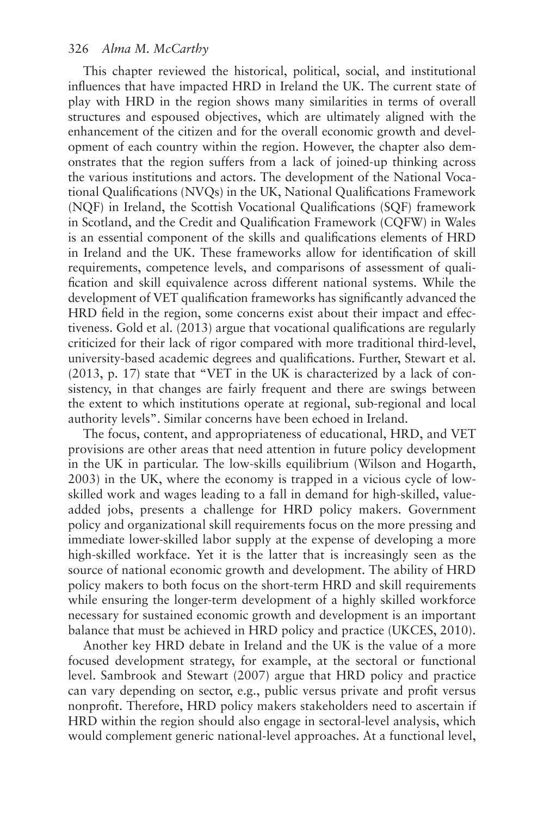This chapter reviewed the historical, political, social, and institutional influences that have impacted HRD in Ireland the UK. The current state of play with HRD in the region shows many similarities in terms of overall structures and espoused objectives, which are ultimately aligned with the enhancement of the citizen and for the overall economic growth and development of each country within the region. However, the chapter also demonstrates that the region suffers from a lack of joined-up thinking across the various institutions and actors. The development of the National Vocational Qualifications (NVQs) in the UK, National Qualifications Framework (NQF) in Ireland, the Scottish Vocational Qualifications (SQF) framework in Scotland, and the Credit and Qualification Framework (CQFW) in Wales is an essential component of the skills and qualifications elements of HRD in Ireland and the UK. These frameworks allow for identification of skill requirements, competence levels, and comparisons of assessment of qualification and skill equivalence across different national systems. While the development of VET qualification frameworks has significantly advanced the HRD field in the region, some concerns exist about their impact and effectiveness. Gold et al. (2013) argue that vocational qualifications are regularly criticized for their lack of rigor compared with more traditional third-level, university-based academic degrees and qualifications. Further, Stewart et al. (2013, p. 17) state that "VET in the UK is characterized by a lack of consistency, in that changes are fairly frequent and there are swings between the extent to which institutions operate at regional, sub-regional and local authority levels". Similar concerns have been echoed in Ireland.

The focus, content, and appropriateness of educational, HRD, and VET provisions are other areas that need attention in future policy development in the UK in particular. The low-skills equilibrium (Wilson and Hogarth, 2003) in the UK, where the economy is trapped in a vicious cycle of lowskilled work and wages leading to a fall in demand for high-skilled, valueadded jobs, presents a challenge for HRD policy makers. Government policy and organizational skill requirements focus on the more pressing and immediate lower-skilled labor supply at the expense of developing a more high-skilled workface. Yet it is the latter that is increasingly seen as the source of national economic growth and development. The ability of HRD policy makers to both focus on the short-term HRD and skill requirements while ensuring the longer-term development of a highly skilled workforce necessary for sustained economic growth and development is an important balance that must be achieved in HRD policy and practice (UKCES, 2010).

Another key HRD debate in Ireland and the UK is the value of a more focused development strategy, for example, at the sectoral or functional level. Sambrook and Stewart (2007) argue that HRD policy and practice can vary depending on sector, e.g., public versus private and profit versus nonprofit. Therefore, HRD policy makers stakeholders need to ascertain if HRD within the region should also engage in sectoral-level analysis, which would complement generic national-level approaches. At a functional level,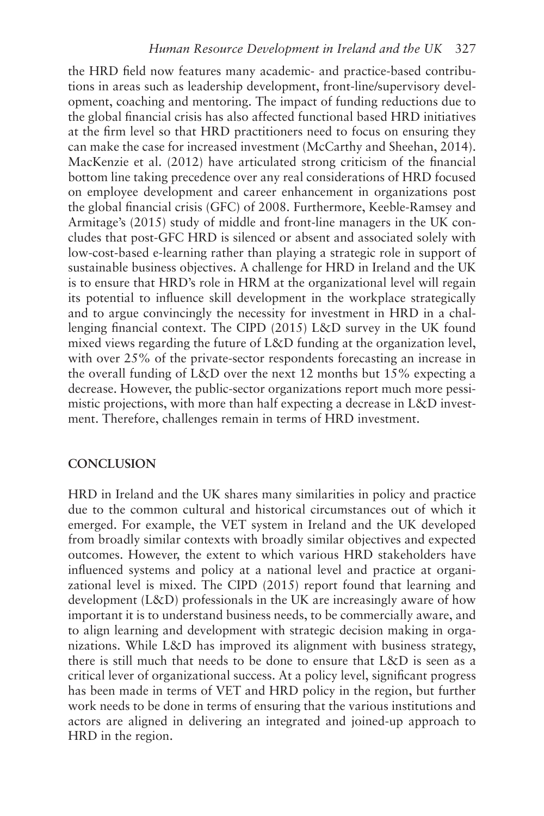the HRD field now features many academic- and practice-based contributions in areas such as leadership development, front-line/supervisory development, coaching and mentoring. The impact of funding reductions due to the global financial crisis has also affected functional based HRD initiatives at the firm level so that HRD practitioners need to focus on ensuring they can make the case for increased investment (McCarthy and Sheehan, 2014). MacKenzie et al. (2012) have articulated strong criticism of the financial bottom line taking precedence over any real considerations of HRD focused on employee development and career enhancement in organizations post the global financial crisis (GFC) of 2008. Furthermore, Keeble-Ramsey and Armitage's (2015) study of middle and front-line managers in the UK concludes that post-GFC HRD is silenced or absent and associated solely with low-cost-based e-learning rather than playing a strategic role in support of sustainable business objectives. A challenge for HRD in Ireland and the UK is to ensure that HRD's role in HRM at the organizational level will regain its potential to influence skill development in the workplace strategically and to argue convincingly the necessity for investment in HRD in a challenging financial context. The CIPD (2015) L&D survey in the UK found mixed views regarding the future of L&D funding at the organization level, with over 25% of the private-sector respondents forecasting an increase in the overall funding of L&D over the next 12 months but 15% expecting a decrease. However, the public-sector organizations report much more pessimistic projections, with more than half expecting a decrease in L&D investment. Therefore, challenges remain in terms of HRD investment.

#### **CONCLUSION**

HRD in Ireland and the UK shares many similarities in policy and practice due to the common cultural and historical circumstances out of which it emerged. For example, the VET system in Ireland and the UK developed from broadly similar contexts with broadly similar objectives and expected outcomes. However, the extent to which various HRD stakeholders have influenced systems and policy at a national level and practice at organizational level is mixed. The CIPD (2015) report found that learning and development (L&D) professionals in the UK are increasingly aware of how important it is to understand business needs, to be commercially aware, and to align learning and development with strategic decision making in organizations. While L&D has improved its alignment with business strategy, there is still much that needs to be done to ensure that L&D is seen as a critical lever of organizational success. At a policy level, significant progress has been made in terms of VET and HRD policy in the region, but further work needs to be done in terms of ensuring that the various institutions and actors are aligned in delivering an integrated and joined-up approach to HRD in the region.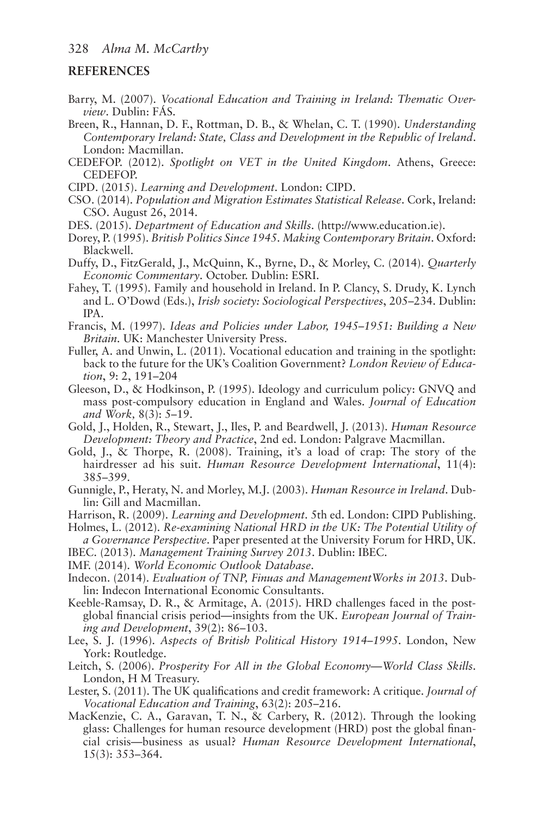#### **REFERENCES**

- Barry, M. (2007). *Vocational Education and Training in Ireland: Thematic Overview*. Dublin: FÁS.
- Breen, R., Hannan, D. F., Rottman, D. B., & Whelan, C. T. (1990). *Understanding Contemporary Ireland: State, Class and Development in the Republic of Ireland*. London: Macmillan.
- CEDEFOP. (2012). *Spotlight on VET in the United Kingdom*. Athens, Greece: CEDEFOP.
- CIPD. (2015). *Learning and Development*. London: CIPD.
- CSO. (2014). *Population and Migration Estimates Statistical Release*. Cork, Ireland: CSO. August 26, 2014.
- DES. (2015). *Department of Education and Skills*. (http://www.education.ie).
- Dorey, P. (1995). *British Politics Since 1945. Making Contemporary Britain*. Oxford: Blackwell.
- Duffy, D., FitzGerald, J., McQuinn, K., Byrne, D., & Morley, C. (2014). *Quarterly Economic Commentary*. October. Dublin: ESRI.
- Fahey, T. (1995). Family and household in Ireland. In P. Clancy, S. Drudy, K. Lynch and L. O'Dowd (Eds.), *Irish society: Sociological Perspectives*, 205–234. Dublin: IPA.
- Francis, M. (1997). *Ideas and Policies under Labor, 1945–1951: Building a New Britain.* UK: Manchester University Press.
- Fuller, A. and Unwin, L. (2011). Vocational education and training in the spotlight: back to the future for the UK's Coalition Government? *London Review of Education*, 9: 2, 191–204
- Gleeson, D., & Hodkinson, P. (1995). Ideology and curriculum policy: GNVQ and mass post-compulsory education in England and Wales. *Journal of Education and Work,* 8(3): 5–19.
- Gold, J., Holden, R., Stewart, J., Iles, P. and Beardwell, J. (2013). *Human Resource Development: Theory and Practice*, 2nd ed. London: Palgrave Macmillan.
- Gold, J., & Thorpe, R. (2008). Training, it's a load of crap: The story of the hairdresser ad his suit. *Human Resource Development International*, 11(4): 385–399.
- Gunnigle, P., Heraty, N. and Morley, M.J. (2003). *Human Resource in Ireland*. Dublin: Gill and Macmillan.
- Harrison, R. (2009). *Learning and Development*. 5th ed. London: CIPD Publishing.

Holmes, L. (2012). *Re-examining National HRD in the UK: The Potential Utility of* 

- *a Governance Perspective*. Paper presented at the University Forum for HRD, UK.
- IBEC. (2013). *Management Training Survey 2013*. Dublin: IBEC.

IMF. (2014). *World Economic Outlook Database*.

- Indecon. (2014). *Evaluation of TNP, Finuas and ManagementWorks in 2013*. Dublin: Indecon International Economic Consultants.
- Keeble-Ramsay, D. R., & Armitage, A. (2015). HRD challenges faced in the postglobal financial crisis period—insights from the UK. *European Journal of Training and Development*, 39(2): 86–103.
- Lee, S. J. (1996). *Aspects of British Political History 1914–1995*. London, New York: Routledge.
- Leitch, S. (2006). *Prosperity For All in the Global Economy—World Class Skills*. London, H M Treasury.
- Lester, S. (2011). The UK qualifications and credit framework: A critique. *Journal of Vocational Education and Training*, 63(2): 205–216.
- MacKenzie, C. A., Garavan, T. N., & Carbery, R. (2012). Through the looking glass: Challenges for human resource development (HRD) post the global financial crisis—business as usual? *Human Resource Development International*, 15(3): 353–364.